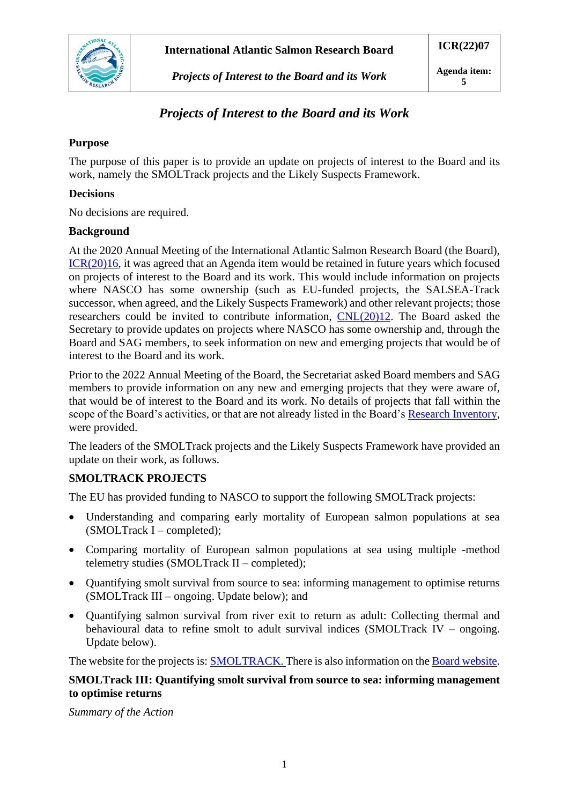

# *Projects of Interest to the Board and its Work*

# *Projects of Interest to the Board and its Work*

### **Purpose**

The purpose of this paper is to provide an update on projects of interest to the Board and its work, namely the SMOLTrack projects and the Likely Suspects Framework.

### **Decisions**

No decisions are required.

#### **Background**

At the 2020 Annual Meeting of the International Atlantic Salmon Research Board (the Board), [ICR\(20\)16,](https://salmonatsea.com/wp-content/uploads/2020/08/ICR2016_Report-of-the-Nineteenth-Meeting-of-the-Board.pdf) it was agreed that an Agenda item would be retained in future years which focused on projects of interest to the Board and its work. This would include information on projects where NASCO has some ownership (such as EU-funded projects, the SALSEA-Track successor, when agreed, and the Likely Suspects Framework) and other relevant projects; those researchers could be invited to contribute information, [CNL\(20\)12.](https://nasco.int/wp-content/uploads/2020/08/CNL2012_Report-of-the-Nineteenth-Meeting-of-the-International-Atlantic-Salmon-Research-Board_FINAL.pdf) The Board asked the Secretary to provide updates on projects where NASCO has some ownership and, through the Board and SAG members, to seek information on new and emerging projects that would be of interest to the Board and its work.

Prior to the 2022 Annual Meeting of the Board, the Secretariat asked Board members and SAG members to provide information on any new and emerging projects that they were aware of, that would be of interest to the Board and its work. No details of projects that fall within the scope of the Board's activities, or that are not already listed in the Board's [Research Inventory,](https://salmonatsea.com/research-inventory/) were provided.

The leaders of the SMOLTrack projects and the Likely Suspects Framework have provided an update on their work, as follows.

### **SMOLTRACK PROJECTS**

The EU has provided funding to NASCO to support the following SMOLTrack projects:

- Understanding and comparing early mortality of European salmon populations at sea (SMOLTrack I – completed);
- Comparing mortality of European salmon populations at sea using multiple -method telemetry studies (SMOLTrack II – completed);
- Ouantifying smolt survival from source to sea: informing management to optimise returns (SMOLTrack III – ongoing. Update below); and
- Quantifying salmon survival from river exit to return as adult: Collecting thermal and behavioural data to refine smolt to adult survival indices (SMOLTrack IV – ongoing. Update below).

The website for the projects is[: SMOLTRACK.](https://www.smoltrack.eu/) There is also information on the [Board website.](https://salmonatsea.com/eu-funded-research/)

### **SMOLTrack III: Quantifying smolt survival from source to sea: informing management to optimise returns**

*Summary of the Action*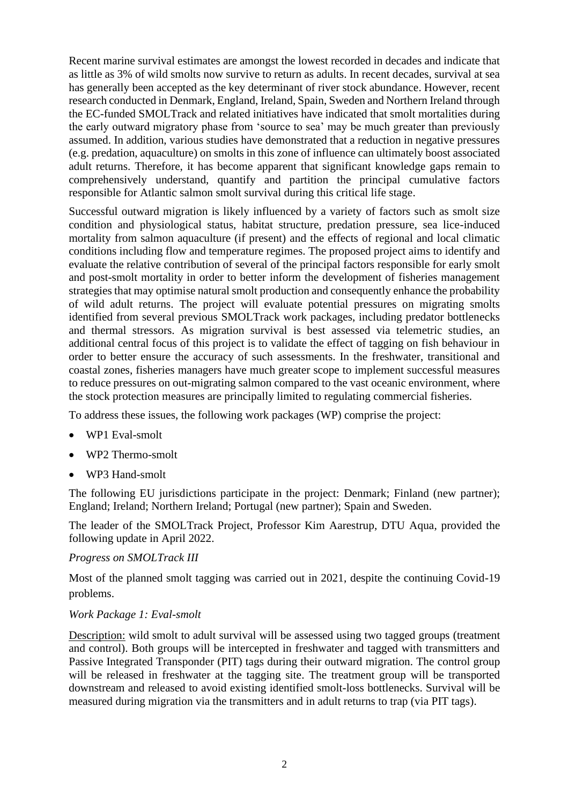Recent marine survival estimates are amongst the lowest recorded in decades and indicate that as little as 3% of wild smolts now survive to return as adults. In recent decades, survival at sea has generally been accepted as the key determinant of river stock abundance. However, recent research conducted in Denmark, England, Ireland, Spain, Sweden and Northern Ireland through the EC-funded SMOLTrack and related initiatives have indicated that smolt mortalities during the early outward migratory phase from 'source to sea' may be much greater than previously assumed. In addition, various studies have demonstrated that a reduction in negative pressures (e.g. predation, aquaculture) on smolts in this zone of influence can ultimately boost associated adult returns. Therefore, it has become apparent that significant knowledge gaps remain to comprehensively understand, quantify and partition the principal cumulative factors responsible for Atlantic salmon smolt survival during this critical life stage.

Successful outward migration is likely influenced by a variety of factors such as smolt size condition and physiological status, habitat structure, predation pressure, sea lice-induced mortality from salmon aquaculture (if present) and the effects of regional and local climatic conditions including flow and temperature regimes. The proposed project aims to identify and evaluate the relative contribution of several of the principal factors responsible for early smolt and post-smolt mortality in order to better inform the development of fisheries management strategies that may optimise natural smolt production and consequently enhance the probability of wild adult returns. The project will evaluate potential pressures on migrating smolts identified from several previous SMOLTrack work packages, including predator bottlenecks and thermal stressors. As migration survival is best assessed via telemetric studies, an additional central focus of this project is to validate the effect of tagging on fish behaviour in order to better ensure the accuracy of such assessments. In the freshwater, transitional and coastal zones, fisheries managers have much greater scope to implement successful measures to reduce pressures on out-migrating salmon compared to the vast oceanic environment, where the stock protection measures are principally limited to regulating commercial fisheries.

To address these issues, the following work packages (WP) comprise the project:

- WP1 Eval-smolt
- WP2 Thermo-smolt
- WP3 Hand-smolt

The following EU jurisdictions participate in the project: Denmark; Finland (new partner); England; Ireland; Northern Ireland; Portugal (new partner); Spain and Sweden.

The leader of the SMOLTrack Project, Professor Kim Aarestrup, DTU Aqua, provided the following update in April 2022.

#### *Progress on SMOLTrack III*

Most of the planned smolt tagging was carried out in 2021, despite the continuing Covid-19 problems.

#### *Work Package 1: Eval-smolt*

Description: wild smolt to adult survival will be assessed using two tagged groups (treatment and control). Both groups will be intercepted in freshwater and tagged with transmitters and Passive Integrated Transponder (PIT) tags during their outward migration. The control group will be released in freshwater at the tagging site. The treatment group will be transported downstream and released to avoid existing identified smolt-loss bottlenecks. Survival will be measured during migration via the transmitters and in adult returns to trap (via PIT tags).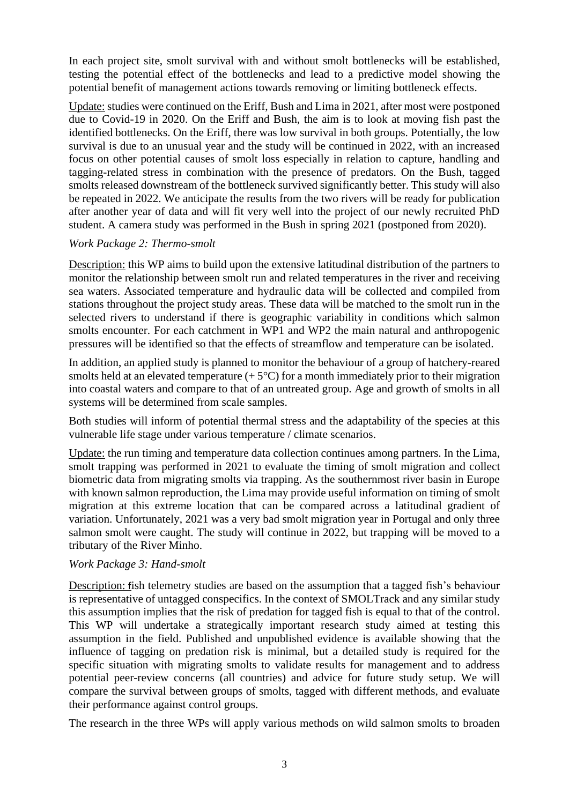In each project site, smolt survival with and without smolt bottlenecks will be established, testing the potential effect of the bottlenecks and lead to a predictive model showing the potential benefit of management actions towards removing or limiting bottleneck effects.

Update: studies were continued on the Eriff, Bush and Lima in 2021, after most were postponed due to Covid-19 in 2020. On the Eriff and Bush, the aim is to look at moving fish past the identified bottlenecks. On the Eriff, there was low survival in both groups. Potentially, the low survival is due to an unusual year and the study will be continued in 2022, with an increased focus on other potential causes of smolt loss especially in relation to capture, handling and tagging-related stress in combination with the presence of predators. On the Bush, tagged smolts released downstream of the bottleneck survived significantly better. This study will also be repeated in 2022. We anticipate the results from the two rivers will be ready for publication after another year of data and will fit very well into the project of our newly recruited PhD student. A camera study was performed in the Bush in spring 2021 (postponed from 2020).

#### *Work Package 2: Thermo-smolt*

Description: this WP aims to build upon the extensive latitudinal distribution of the partners to monitor the relationship between smolt run and related temperatures in the river and receiving sea waters. Associated temperature and hydraulic data will be collected and compiled from stations throughout the project study areas. These data will be matched to the smolt run in the selected rivers to understand if there is geographic variability in conditions which salmon smolts encounter. For each catchment in WP1 and WP2 the main natural and anthropogenic pressures will be identified so that the effects of streamflow and temperature can be isolated.

In addition, an applied study is planned to monitor the behaviour of a group of hatchery-reared smolts held at an elevated temperature  $(+5^{\circ}C)$  for a month immediately prior to their migration into coastal waters and compare to that of an untreated group. Age and growth of smolts in all systems will be determined from scale samples.

Both studies will inform of potential thermal stress and the adaptability of the species at this vulnerable life stage under various temperature / climate scenarios.

Update: the run timing and temperature data collection continues among partners. In the Lima, smolt trapping was performed in 2021 to evaluate the timing of smolt migration and collect biometric data from migrating smolts via trapping. As the southernmost river basin in Europe with known salmon reproduction, the Lima may provide useful information on timing of smolt migration at this extreme location that can be compared across a latitudinal gradient of variation. Unfortunately, 2021 was a very bad smolt migration year in Portugal and only three salmon smolt were caught. The study will continue in 2022, but trapping will be moved to a tributary of the River Minho.

#### *Work Package 3: Hand-smolt*

Description: fish telemetry studies are based on the assumption that a tagged fish's behaviour is representative of untagged conspecifics. In the context of SMOLTrack and any similar study this assumption implies that the risk of predation for tagged fish is equal to that of the control. This WP will undertake a strategically important research study aimed at testing this assumption in the field. Published and unpublished evidence is available showing that the influence of tagging on predation risk is minimal, but a detailed study is required for the specific situation with migrating smolts to validate results for management and to address potential peer-review concerns (all countries) and advice for future study setup. We will compare the survival between groups of smolts, tagged with different methods, and evaluate their performance against control groups.

The research in the three WPs will apply various methods on wild salmon smolts to broaden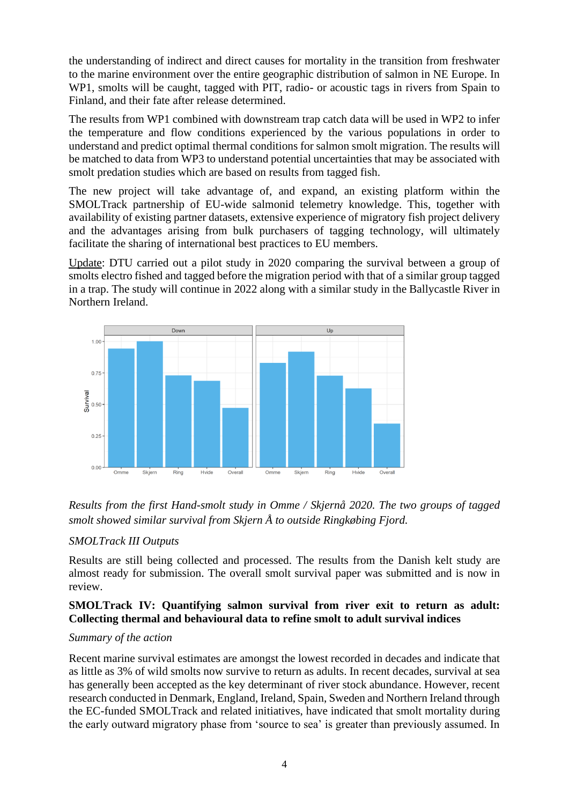the understanding of indirect and direct causes for mortality in the transition from freshwater to the marine environment over the entire geographic distribution of salmon in NE Europe. In WP1, smolts will be caught, tagged with PIT, radio- or acoustic tags in rivers from Spain to Finland, and their fate after release determined.

The results from WP1 combined with downstream trap catch data will be used in WP2 to infer the temperature and flow conditions experienced by the various populations in order to understand and predict optimal thermal conditions for salmon smolt migration. The results will be matched to data from WP3 to understand potential uncertainties that may be associated with smolt predation studies which are based on results from tagged fish.

The new project will take advantage of, and expand, an existing platform within the SMOLTrack partnership of EU-wide salmonid telemetry knowledge. This, together with availability of existing partner datasets, extensive experience of migratory fish project delivery and the advantages arising from bulk purchasers of tagging technology, will ultimately facilitate the sharing of international best practices to EU members.

Update: DTU carried out a pilot study in 2020 comparing the survival between a group of smolts electro fished and tagged before the migration period with that of a similar group tagged in a trap. The study will continue in 2022 along with a similar study in the Ballycastle River in Northern Ireland.



*Results from the first Hand-smolt study in Omme / Skjernå 2020. The two groups of tagged smolt showed similar survival from Skjern Å to outside Ringkøbing Fjord.* 

### *SMOLTrack III Outputs*

Results are still being collected and processed. The results from the Danish kelt study are almost ready for submission. The overall smolt survival paper was submitted and is now in review.

### **SMOLTrack IV: Quantifying salmon survival from river exit to return as adult: Collecting thermal and behavioural data to refine smolt to adult survival indices**

### *Summary of the action*

Recent marine survival estimates are amongst the lowest recorded in decades and indicate that as little as 3% of wild smolts now survive to return as adults. In recent decades, survival at sea has generally been accepted as the key determinant of river stock abundance. However, recent research conducted in Denmark, England, Ireland, Spain, Sweden and Northern Ireland through the EC-funded SMOLTrack and related initiatives, have indicated that smolt mortality during the early outward migratory phase from 'source to sea' is greater than previously assumed. In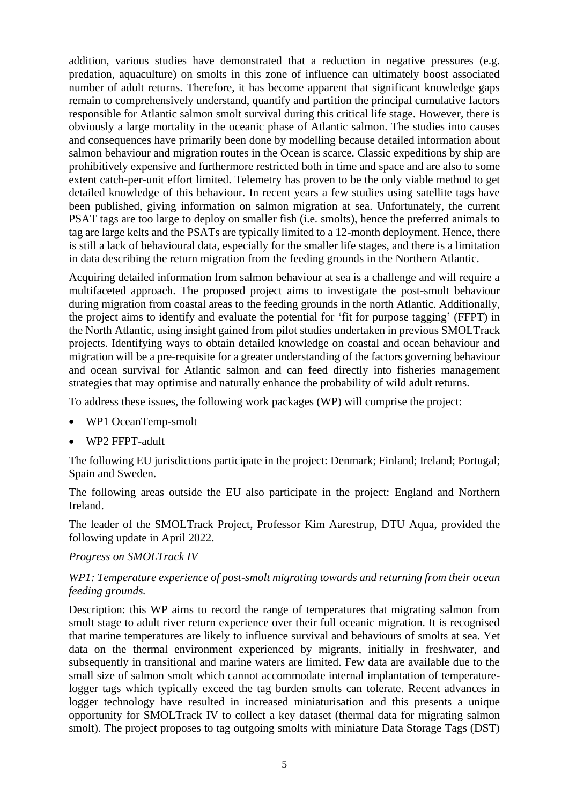addition, various studies have demonstrated that a reduction in negative pressures (e.g. predation, aquaculture) on smolts in this zone of influence can ultimately boost associated number of adult returns. Therefore, it has become apparent that significant knowledge gaps remain to comprehensively understand, quantify and partition the principal cumulative factors responsible for Atlantic salmon smolt survival during this critical life stage. However, there is obviously a large mortality in the oceanic phase of Atlantic salmon. The studies into causes and consequences have primarily been done by modelling because detailed information about salmon behaviour and migration routes in the Ocean is scarce. Classic expeditions by ship are prohibitively expensive and furthermore restricted both in time and space and are also to some extent catch-per-unit effort limited. Telemetry has proven to be the only viable method to get detailed knowledge of this behaviour. In recent years a few studies using satellite tags have been published, giving information on salmon migration at sea. Unfortunately, the current PSAT tags are too large to deploy on smaller fish (i.e. smolts), hence the preferred animals to tag are large kelts and the PSATs are typically limited to a 12-month deployment. Hence, there is still a lack of behavioural data, especially for the smaller life stages, and there is a limitation in data describing the return migration from the feeding grounds in the Northern Atlantic.

Acquiring detailed information from salmon behaviour at sea is a challenge and will require a multifaceted approach. The proposed project aims to investigate the post-smolt behaviour during migration from coastal areas to the feeding grounds in the north Atlantic. Additionally, the project aims to identify and evaluate the potential for 'fit for purpose tagging' (FFPT) in the North Atlantic, using insight gained from pilot studies undertaken in previous SMOLTrack projects. Identifying ways to obtain detailed knowledge on coastal and ocean behaviour and migration will be a pre-requisite for a greater understanding of the factors governing behaviour and ocean survival for Atlantic salmon and can feed directly into fisheries management strategies that may optimise and naturally enhance the probability of wild adult returns.

To address these issues, the following work packages (WP) will comprise the project:

- WP1 OceanTemp-smolt
- WP2 FFPT-adult

The following EU jurisdictions participate in the project: Denmark; Finland; Ireland; Portugal; Spain and Sweden.

The following areas outside the EU also participate in the project: England and Northern Ireland.

The leader of the SMOLTrack Project, Professor Kim Aarestrup, DTU Aqua, provided the following update in April 2022.

#### *Progress on SMOLTrack IV*

### *WP1: Temperature experience of post-smolt migrating towards and returning from their ocean feeding grounds.*

Description: this WP aims to record the range of temperatures that migrating salmon from smolt stage to adult river return experience over their full oceanic migration. It is recognised that marine temperatures are likely to influence survival and behaviours of smolts at sea. Yet data on the thermal environment experienced by migrants, initially in freshwater, and subsequently in transitional and marine waters are limited. Few data are available due to the small size of salmon smolt which cannot accommodate internal implantation of temperaturelogger tags which typically exceed the tag burden smolts can tolerate. Recent advances in logger technology have resulted in increased miniaturisation and this presents a unique opportunity for SMOLTrack IV to collect a key dataset (thermal data for migrating salmon smolt). The project proposes to tag outgoing smolts with miniature Data Storage Tags (DST)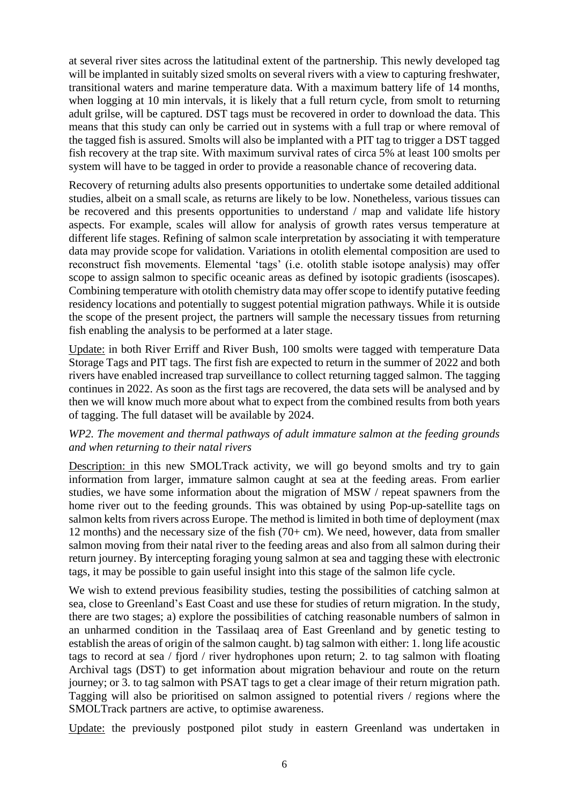at several river sites across the latitudinal extent of the partnership. This newly developed tag will be implanted in suitably sized smolts on several rivers with a view to capturing freshwater, transitional waters and marine temperature data. With a maximum battery life of 14 months, when logging at 10 min intervals, it is likely that a full return cycle, from smolt to returning adult grilse, will be captured. DST tags must be recovered in order to download the data. This means that this study can only be carried out in systems with a full trap or where removal of the tagged fish is assured. Smolts will also be implanted with a PIT tag to trigger a DST tagged fish recovery at the trap site. With maximum survival rates of circa 5% at least 100 smolts per system will have to be tagged in order to provide a reasonable chance of recovering data.

Recovery of returning adults also presents opportunities to undertake some detailed additional studies, albeit on a small scale, as returns are likely to be low. Nonetheless, various tissues can be recovered and this presents opportunities to understand / map and validate life history aspects. For example, scales will allow for analysis of growth rates versus temperature at different life stages. Refining of salmon scale interpretation by associating it with temperature data may provide scope for validation. Variations in otolith elemental composition are used to reconstruct fish movements. Elemental 'tags' (i.e. otolith stable isotope analysis) may offer scope to assign salmon to specific oceanic areas as defined by isotopic gradients (isoscapes). Combining temperature with otolith chemistry data may offer scope to identify putative feeding residency locations and potentially to suggest potential migration pathways. While it is outside the scope of the present project, the partners will sample the necessary tissues from returning fish enabling the analysis to be performed at a later stage.

Update: in both River Erriff and River Bush, 100 smolts were tagged with temperature Data Storage Tags and PIT tags. The first fish are expected to return in the summer of 2022 and both rivers have enabled increased trap surveillance to collect returning tagged salmon. The tagging continues in 2022. As soon as the first tags are recovered, the data sets will be analysed and by then we will know much more about what to expect from the combined results from both years of tagging. The full dataset will be available by 2024.

### *WP2. The movement and thermal pathways of adult immature salmon at the feeding grounds and when returning to their natal rivers*

Description: in this new SMOLTrack activity, we will go beyond smolts and try to gain information from larger, immature salmon caught at sea at the feeding areas. From earlier studies, we have some information about the migration of MSW / repeat spawners from the home river out to the feeding grounds. This was obtained by using Pop-up-satellite tags on salmon kelts from rivers across Europe. The method is limited in both time of deployment (max 12 months) and the necessary size of the fish (70+ cm). We need, however, data from smaller salmon moving from their natal river to the feeding areas and also from all salmon during their return journey. By intercepting foraging young salmon at sea and tagging these with electronic tags, it may be possible to gain useful insight into this stage of the salmon life cycle.

We wish to extend previous feasibility studies, testing the possibilities of catching salmon at sea, close to Greenland's East Coast and use these for studies of return migration. In the study, there are two stages; a) explore the possibilities of catching reasonable numbers of salmon in an unharmed condition in the Tassilaaq area of East Greenland and by genetic testing to establish the areas of origin of the salmon caught. b) tag salmon with either: 1. long life acoustic tags to record at sea / fjord / river hydrophones upon return; 2. to tag salmon with floating Archival tags (DST) to get information about migration behaviour and route on the return journey; or 3. to tag salmon with PSAT tags to get a clear image of their return migration path. Tagging will also be prioritised on salmon assigned to potential rivers / regions where the SMOLTrack partners are active, to optimise awareness.

Update: the previously postponed pilot study in eastern Greenland was undertaken in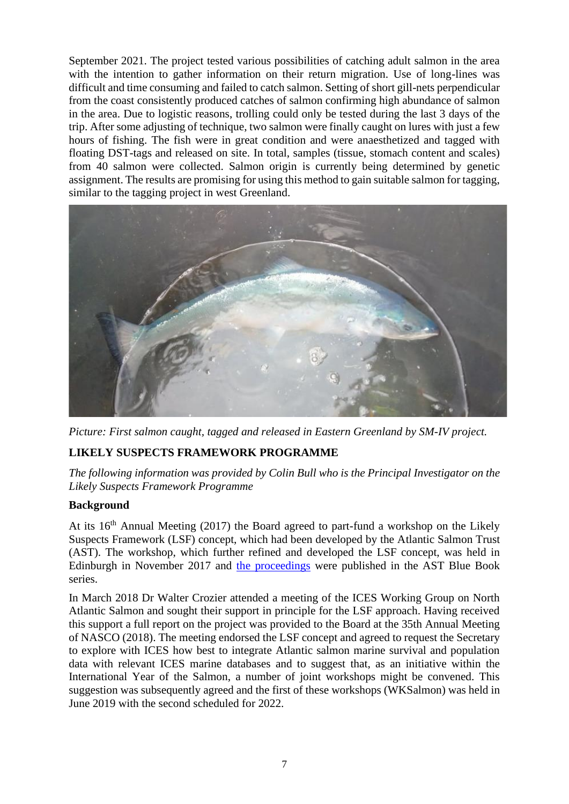September 2021. The project tested various possibilities of catching adult salmon in the area with the intention to gather information on their return migration. Use of long-lines was difficult and time consuming and failed to catch salmon. Setting of short gill-nets perpendicular from the coast consistently produced catches of salmon confirming high abundance of salmon in the area. Due to logistic reasons, trolling could only be tested during the last 3 days of the trip. After some adjusting of technique, two salmon were finally caught on lures with just a few hours of fishing. The fish were in great condition and were anaesthetized and tagged with floating DST-tags and released on site. In total, samples (tissue, stomach content and scales) from 40 salmon were collected. Salmon origin is currently being determined by genetic assignment. The results are promising for using this method to gain suitable salmon for tagging, similar to the tagging project in west Greenland.



*Picture: First salmon caught, tagged and released in Eastern Greenland by SM-IV project.*

## **LIKELY SUSPECTS FRAMEWORK PROGRAMME**

*The following information was provided by Colin Bull who is the Principal Investigator on the Likely Suspects Framework Programme*

### **Background**

At its 16<sup>th</sup> Annual Meeting (2017) the Board agreed to part-fund a workshop on the Likely Suspects Framework (LSF) concept, which had been developed by the Atlantic Salmon Trust (AST). The workshop, which further refined and developed the LSF concept, was held in Edinburgh in November 2017 and [the proceedings](https://atlanticsalmontrust.org/wp-content/uploads/2018/08/Blue-Journal-June-2018.pdf) were published in the AST Blue Book series.

In March 2018 Dr Walter Crozier attended a meeting of the ICES Working Group on North Atlantic Salmon and sought their support in principle for the LSF approach. Having received this support a full report on the project was provided to the Board at the 35th Annual Meeting of NASCO (2018). The meeting endorsed the LSF concept and agreed to request the Secretary to explore with ICES how best to integrate Atlantic salmon marine survival and population data with relevant ICES marine databases and to suggest that, as an initiative within the International Year of the Salmon, a number of joint workshops might be convened. This suggestion was subsequently agreed and the first of these workshops (WKSalmon) was held in June 2019 with the second scheduled for 2022.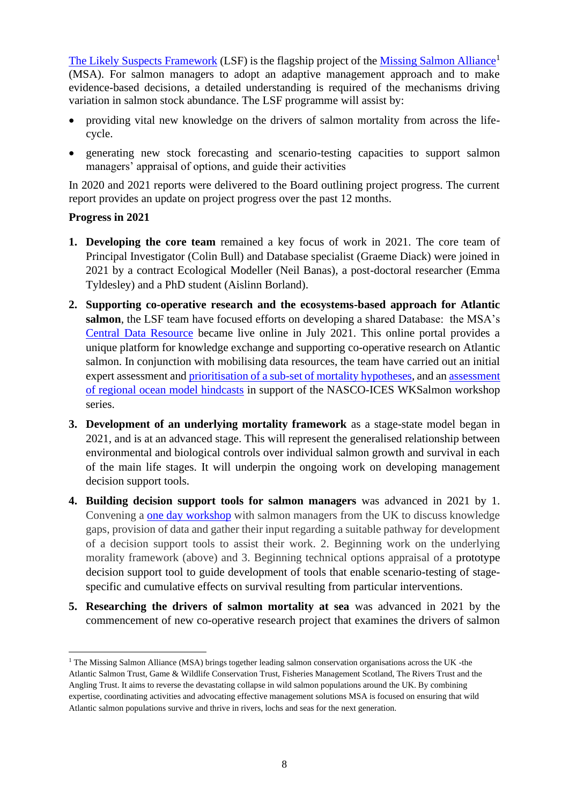[The Likely Suspects Framework](https://missingsalmonalliance.org/likely-suspects-framework) (LSF) is the flagship project of the [Missing Salmon Alliance](https://missingsalmonalliance.org/likely-suspects-framework)<sup>1</sup> (MSA). For salmon managers to adopt an adaptive management approach and to make evidence-based decisions, a detailed understanding is required of the mechanisms driving variation in salmon stock abundance. The LSF programme will assist by:

- providing vital new knowledge on the drivers of salmon mortality from across the lifecycle.
- generating new stock forecasting and scenario-testing capacities to support salmon managers' appraisal of options, and guide their activities

In 2020 and 2021 reports were delivered to the Board outlining project progress. The current report provides an update on project progress over the past 12 months.

### **Progress in 2021**

- **1. Developing the core team** remained a key focus of work in 2021. The core team of Principal Investigator (Colin Bull) and Database specialist (Graeme Diack) were joined in 2021 by a contract Ecological Modeller (Neil Banas), a post-doctoral researcher (Emma Tyldesley) and a PhD student (Aislinn Borland).
- **2. Supporting co-operative research and the ecosystems-based approach for Atlantic salmon**, the LSF team have focused efforts on developing a shared Database: the MSA's [Central Data Resource](https://shiny.missingsalmonalliance.org/central-data-resource/) became live online in July 2021. This online portal provides a unique platform for knowledge exchange and supporting co-operative research on Atlantic salmon. In conjunction with mobilising data resources, the team have carried out an initial expert assessment and [prioritisation of a sub-set of mortality hypotheses,](https://missingsalmonalliance.org/key-mortality-questions-hypotheses) and an [assessment](https://shiny.missingsalmonalliance.org/documents/Tyldesley_2021_Assessment_of_Regional_Ocean_model_hindcasts.pdf)  [of regional ocean model hindcasts](https://shiny.missingsalmonalliance.org/documents/Tyldesley_2021_Assessment_of_Regional_Ocean_model_hindcasts.pdf) in support of the NASCO-ICES WKSalmon workshop series.
- **3. Development of an underlying mortality framework** as a stage-state model began in 2021, and is at an advanced stage. This will represent the generalised relationship between environmental and biological controls over individual salmon growth and survival in each of the main life stages. It will underpin the ongoing work on developing management decision support tools.
- **4. Building decision support tools for salmon managers** was advanced in 2021 by 1. Convening a [one day workshop](https://static1.squarespace.com/static/5e9554e093a1fa634582bfa3/t/61af49eb91b33b69854de366/1638877679172/final_workshop_report.pdf) with salmon managers from the UK to discuss knowledge gaps, provision of data and gather their input regarding a suitable pathway for development of a decision support tools to assist their work. 2. Beginning work on the underlying morality framework (above) and 3. Beginning technical options appraisal of a prototype decision support tool to guide development of tools that enable scenario-testing of stagespecific and cumulative effects on survival resulting from particular interventions.
- **5. Researching the drivers of salmon mortality at sea** was advanced in 2021 by the commencement of new co-operative research project that examines the drivers of salmon

<sup>&</sup>lt;sup>1</sup> The Missing Salmon Alliance (MSA) brings together leading salmon conservation organisations across the UK -the Atlantic Salmon Trust, Game & Wildlife Conservation Trust, Fisheries Management Scotland, The Rivers Trust and the Angling Trust. It aims to reverse the devastating collapse in wild salmon populations around the UK. By combining expertise, coordinating activities and advocating effective management solutions MSA is focused on ensuring that wild Atlantic salmon populations survive and thrive in rivers, lochs and seas for the next generation.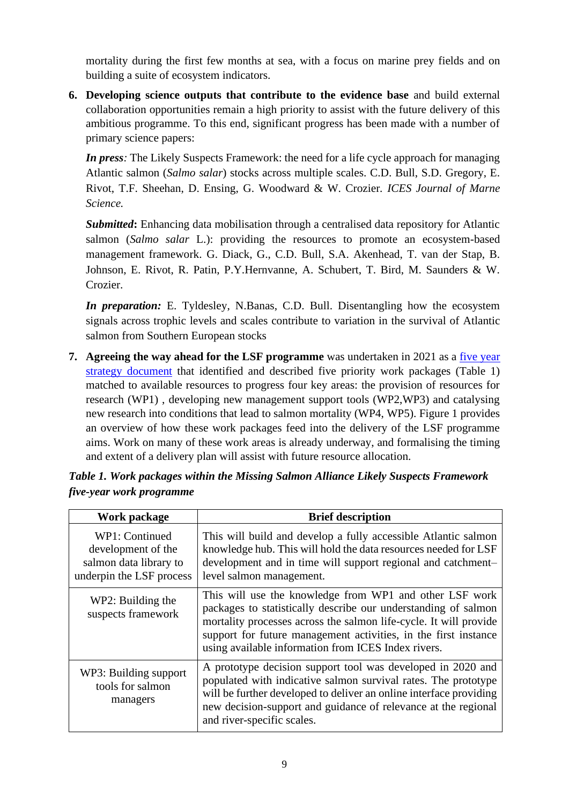mortality during the first few months at sea, with a focus on marine prey fields and on building a suite of ecosystem indicators.

**6. Developing science outputs that contribute to the evidence base** and build external collaboration opportunities remain a high priority to assist with the future delivery of this ambitious programme. To this end, significant progress has been made with a number of primary science papers:

*In press:* The Likely Suspects Framework: the need for a life cycle approach for managing Atlantic salmon (*Salmo salar*) stocks across multiple scales. C.D. Bull, S.D. Gregory, E. Rivot, T.F. Sheehan, D. Ensing, G. Woodward & W. Crozier*. ICES Journal of Marne Science.*

*Submitted***:** Enhancing data mobilisation through a centralised data repository for Atlantic salmon (*Salmo salar* L.): providing the resources to promote an ecosystem-based management framework. G. Diack, G., C.D. Bull, S.A. Akenhead, T. van der Stap, B. Johnson, E. Rivot, R. Patin, P.Y.Hernvanne, A. Schubert, T. Bird, M. Saunders & W. Crozier.

*In preparation:* E. Tyldesley, N.Banas, C.D. Bull. Disentangling how the ecosystem signals across trophic levels and scales contribute to variation in the survival of Atlantic salmon from Southern European stocks

**7. Agreeing the way ahead for the LSF programme** was undertaken in 2021 as a [five year](https://shiny.missingsalmonalliance.org/documents/LSF_Five_Year_Strategy_2021.pdf)  [strategy document](https://shiny.missingsalmonalliance.org/documents/LSF_Five_Year_Strategy_2021.pdf) that identified and described five priority work packages (Table 1) matched to available resources to progress four key areas: the provision of resources for research (WP1) , developing new management support tools (WP2,WP3) and catalysing new research into conditions that lead to salmon mortality (WP4, WP5). Figure 1 provides an overview of how these work packages feed into the delivery of the LSF programme aims. Work on many of these work areas is already underway, and formalising the timing and extent of a delivery plan will assist with future resource allocation.

| Work package                                                                               | <b>Brief description</b>                                                                                                                                                                                                                                                                                                 |
|--------------------------------------------------------------------------------------------|--------------------------------------------------------------------------------------------------------------------------------------------------------------------------------------------------------------------------------------------------------------------------------------------------------------------------|
| WP1: Continued<br>development of the<br>salmon data library to<br>underpin the LSF process | This will build and develop a fully accessible Atlantic salmon<br>knowledge hub. This will hold the data resources needed for LSF<br>development and in time will support regional and catchment-<br>level salmon management.                                                                                            |
| WP2: Building the<br>suspects framework                                                    | This will use the knowledge from WP1 and other LSF work<br>packages to statistically describe our understanding of salmon<br>mortality processes across the salmon life-cycle. It will provide<br>support for future management activities, in the first instance<br>using available information from ICES Index rivers. |
| WP3: Building support<br>tools for salmon<br>managers                                      | A prototype decision support tool was developed in 2020 and<br>populated with indicative salmon survival rates. The prototype<br>will be further developed to deliver an online interface providing<br>new decision-support and guidance of relevance at the regional<br>and river-specific scales.                      |

*Table 1. Work packages within the Missing Salmon Alliance Likely Suspects Framework five-year work programme*